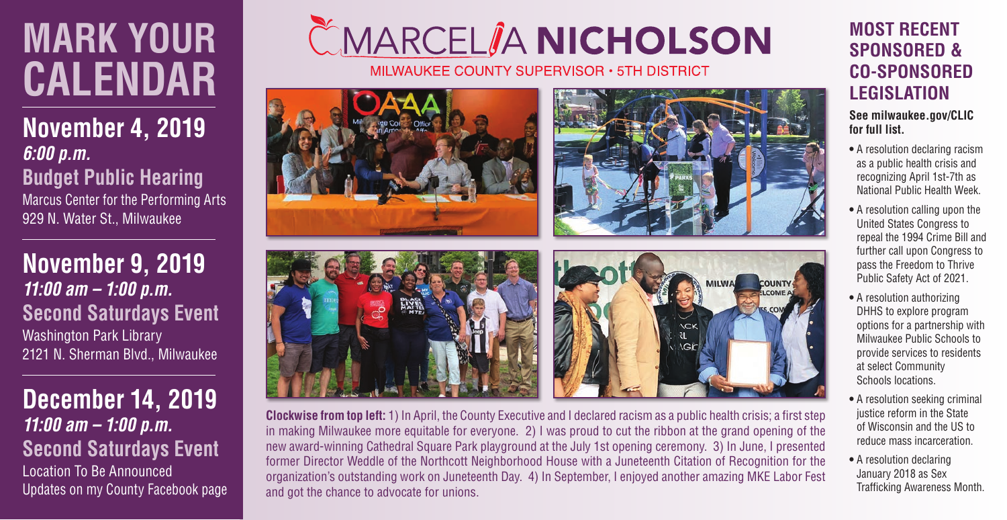## **MARK YOUR CALENDAR**

**November 4, 2019** *6:00 p.m.*  **Budget Public Hearing**  Marcus Center for the Performing Arts

929 N. Water St., Milwaukee

**November 9, 2019** *11:00 am – 1:00 p.m.* **Second Saturdays Event** Washington Park Library 2121 N. Sherman Blvd., Milwaukee

**December 14, 2019** *11:00 am – 1:00 p.m.* **Second Saturdays Event** Location To Be Announced Updates on my County Facebook page

## ČMARCEL**ÎA NICHOLSON**

MILWAUKEE COUNTY SUPERVISOR . 5TH DISTRICT







**Clockwise from top left:** 1) In April, the County Executive and I declared racism as a public health crisis; a first step in making Milwaukee more equitable for everyone. 2) I was proud to cut the ribbon at the grand opening of the new award-winning Cathedral Square Park playground at the July 1st opening ceremony. 3) In June, I presented former Director Weddle of the Northcott Neighborhood House with a Juneteenth Citation of Recognition for the organization's outstanding work on Juneteenth Day. 4) In September, I enjoyed another amazing MKE Labor Fest and got the chance to advocate for unions.

## **MOST RECENT SPONSORED & CO-SPONSORED LEGISLATION**

**See milwaukee.gov/CLIC for full list.**

- A resolution declaring racism as a public health crisis and recognizing April 1st-7th as National Public Health Week.
- A resolution calling upon the United States Congress to repeal the 1994 Crime Bill and further call upon Congress to pass the Freedom to Thrive Public Safety Act of 2021.
- A resolution authorizing DHHS to explore program options for a partnership with Milwaukee Public Schools to provide services to residents at select Community Schools locations.
- A resolution seeking criminal justice reform in the State of Wisconsin and the US to reduce mass incarceration.
- A resolution declaring January 2018 as Sex Trafficking Awareness Month.